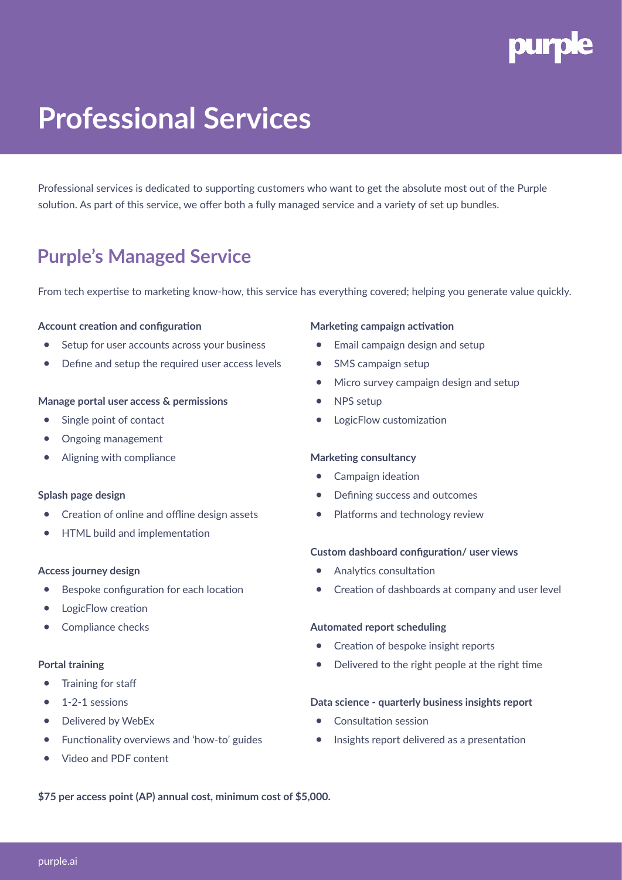

# **Professional Services**

Professional services is dedicated to supporting customers who want to get the absolute most out of the Purple solution. As part of this service, we offer both a fully managed service and a variety of set up bundles.

## **Purple's Managed Service**

From tech expertise to marketing know-how, this service has everything covered; helping you generate value quickly.

### **Account creation and configuration**

- Setup for user accounts across your business
- Define and setup the required user access levels

#### **Manage portal user access & permissions**

- Single point of contact
- Ongoing management
- Aligning with compliance

#### **Splash page design**

- Creation of online and offline design assets
- HTML build and implementation

#### **Access journey design**

- Bespoke configuration for each location
- LogicFlow creation
- Compliance checks

#### **Portal training**

- Training for staff
- $\bullet$  1-2-1 sessions
- Delivered by WebEx
- Functionality overviews and 'how-to' guides
- Video and PDF content

#### **Marketing campaign activation**

- Email campaign design and setup
- SMS campaign setup
- Micro survey campaign design and setup
- NPS setup
- LogicFlow customization

#### **Marketing consultancy**

- Campaign ideation
- Defining success and outcomes
- Platforms and technology review

#### **Custom dashboard configuration/ user views**

- Analytics consultation
- Creation of dashboards at company and user level

#### **Automated report scheduling**

- Creation of bespoke insight reports
- Delivered to the right people at the right time

#### **Data science - quarterly business insights report**

- Consultation session
- Insights report delivered as a presentation

**\$75 per access point (AP) annual cost, minimum cost of \$5,000.**